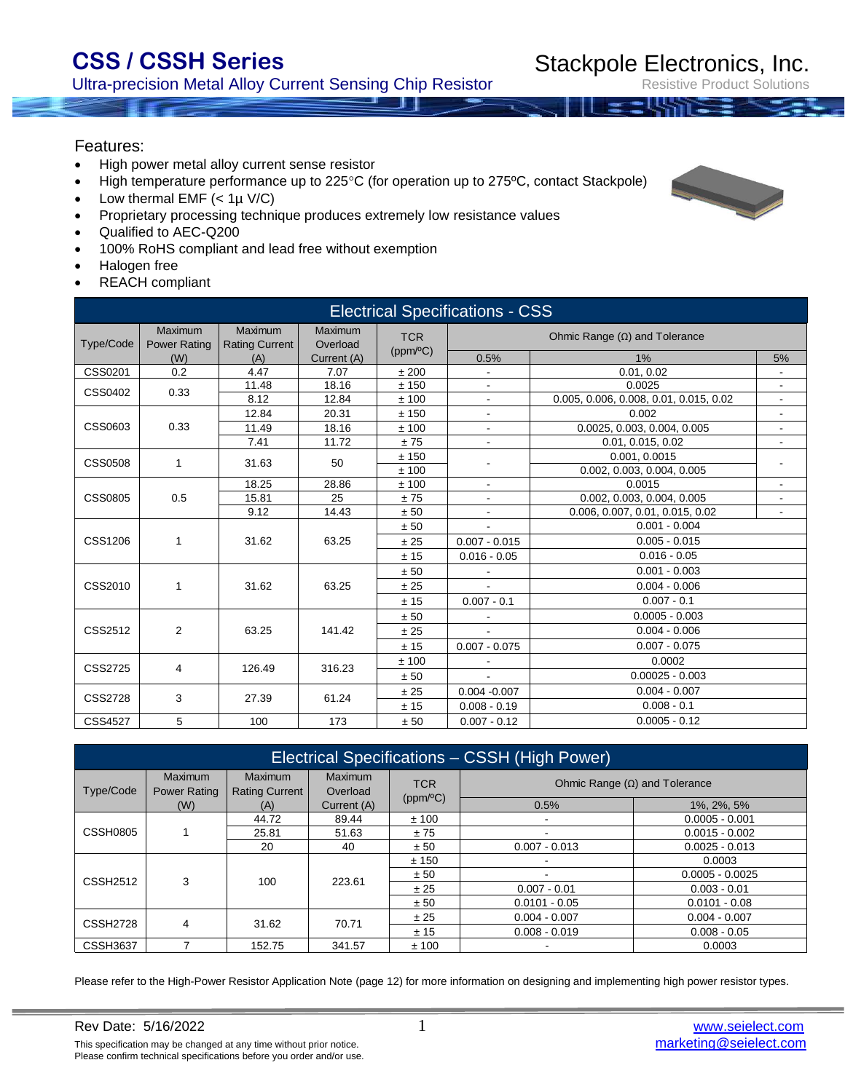Ultra-precision Metal Alloy Current Sensing Chip Resistor

Resistive Product Solutions

#### Features:

- High power metal alloy current sense resistor
- High temperature performance up to 225°C (for operation up to 275°C, contact Stackpole)
- Low thermal  $EMF$  (<  $1\mu$  V/C)
- Proprietary processing technique produces extremely low resistance values
- Qualified to AEC-Q200
- 100% RoHS compliant and lead free without exemption
- Halogen free
- REACH compliant

| <b>Electrical Specifications - CSS</b> |                                |                                         |                     |                             |                          |                                        |                          |  |  |  |
|----------------------------------------|--------------------------------|-----------------------------------------|---------------------|-----------------------------|--------------------------|----------------------------------------|--------------------------|--|--|--|
| Type/Code                              | Maximum<br><b>Power Rating</b> | <b>Maximum</b><br><b>Rating Current</b> | Maximum<br>Overload | <b>TCR</b><br>(ppm/°C)      |                          | Ohmic Range $(\Omega)$ and Tolerance   |                          |  |  |  |
|                                        | (W)                            | (A)                                     | Current (A)         |                             | 0.5%                     | $1\%$                                  | 5%                       |  |  |  |
| CSS0201                                | 0.2                            | 4.47                                    | 7.07                | ±200                        |                          | 0.01, 0.02                             | $\overline{\phantom{a}}$ |  |  |  |
| CSS0402                                | 0.33                           | 11.48                                   | 18.16               | ±150                        | $\overline{\phantom{a}}$ | 0.0025                                 | $\overline{\phantom{a}}$ |  |  |  |
|                                        |                                | 8.12                                    | 12.84               | ±100                        |                          | 0.005, 0.006, 0.008, 0.01, 0.015, 0.02 | $\overline{\phantom{a}}$ |  |  |  |
| CSS0603<br>0.33                        | 12.84                          | 20.31                                   | ±150                | $\overline{\phantom{a}}$    | 0.002                    | $\overline{\phantom{a}}$               |                          |  |  |  |
|                                        | 11.49                          | 18.16                                   | ±100                | 0.0025, 0.003, 0.004, 0.005 |                          | $\overline{\phantom{a}}$               |                          |  |  |  |
|                                        |                                | 7.41                                    | 11.72               | ±75                         | $\blacksquare$           | 0.01, 0.015, 0.02                      | $\blacksquare$           |  |  |  |
| <b>CSS0508</b>                         | $\mathbf{1}$                   | 31.63                                   | 50                  | ±150                        |                          | 0.001, 0.0015                          |                          |  |  |  |
|                                        |                                |                                         |                     | ±100                        |                          | 0.002, 0.003, 0.004, 0.005             |                          |  |  |  |
| <b>CSS0805</b><br>0.5                  | 18.25                          | 28.86                                   | ±100                | $\blacksquare$              | 0.0015                   | $\overline{\phantom{a}}$               |                          |  |  |  |
|                                        |                                | 15.81                                   | 25                  | ±75                         |                          | 0.002, 0.003, 0.004, 0.005             | $\overline{\phantom{a}}$ |  |  |  |
|                                        |                                | 9.12                                    | 14.43               | ± 50                        | $\blacksquare$           | 0.006, 0.007, 0.01, 0.015, 0.02        | $\overline{\phantom{a}}$ |  |  |  |
|                                        |                                | 31.62                                   | 63.25               | ± 50                        |                          | $0.001 - 0.004$                        |                          |  |  |  |
| CSS1206                                | 1                              |                                         |                     | ± 25                        | $0.007 - 0.015$          | $0.005 - 0.015$                        |                          |  |  |  |
|                                        |                                |                                         |                     | ± 15                        | $0.016 - 0.05$           | $0.016 - 0.05$                         |                          |  |  |  |
|                                        |                                |                                         |                     | ± 50                        |                          | $0.001 - 0.003$                        |                          |  |  |  |
| CSS2010                                | 1                              | 31.62                                   | 63.25               | ± 25                        |                          | $0.004 - 0.006$                        |                          |  |  |  |
|                                        |                                |                                         |                     | ±15                         | $0.007 - 0.1$            | $0.007 - 0.1$                          |                          |  |  |  |
|                                        |                                |                                         |                     | ± 50                        |                          | $0.0005 - 0.003$                       |                          |  |  |  |
| CSS2512                                | 2                              | 63.25                                   | 141.42              | ± 25                        |                          | $0.004 - 0.006$                        |                          |  |  |  |
|                                        |                                |                                         |                     | ± 15                        | $0.007 - 0.075$          | $0.007 - 0.075$                        |                          |  |  |  |
| <b>CSS2725</b>                         | $\overline{4}$                 | 126.49                                  | 316.23              | ±100                        |                          | 0.0002                                 |                          |  |  |  |
|                                        |                                |                                         |                     | ± 50                        |                          | $0.00025 - 0.003$                      |                          |  |  |  |
| CSS2728                                | 3                              | 27.39                                   | 61.24               | ±25                         | $0.004 - 0.007$          | $0.004 - 0.007$                        |                          |  |  |  |
|                                        |                                |                                         |                     | ± 15                        | $0.008 - 0.19$           | $0.008 - 0.1$                          |                          |  |  |  |
| <b>CSS4527</b>                         | 5                              | 100                                     | 173                 | ± 50                        | $0.007 - 0.12$           | $0.0005 - 0.12$                        |                          |  |  |  |

| Electrical Specifications - CSSH (High Power) |                         |                           |                            |            |                                      |                   |  |  |  |
|-----------------------------------------------|-------------------------|---------------------------|----------------------------|------------|--------------------------------------|-------------------|--|--|--|
| Type/Code                                     | Maximum<br>Power Rating | Maximum<br>Rating Current | <b>Maximum</b><br>Overload | <b>TCR</b> | Ohmic Range $(\Omega)$ and Tolerance |                   |  |  |  |
|                                               | (W)                     | (A)                       | Current (A)                | (ppm/°C)   | 0.5%                                 | 1%, 2%, 5%        |  |  |  |
| <b>CSSH0805</b>                               |                         | 44.72                     | 89.44                      | ±100       |                                      | $0.0005 - 0.001$  |  |  |  |
|                                               |                         | 25.81                     | 51.63                      | ±75        |                                      | $0.0015 - 0.002$  |  |  |  |
|                                               |                         | 20                        | 40                         | ± 50       | $0.007 - 0.013$                      | $0.0025 - 0.013$  |  |  |  |
|                                               |                         |                           | 223.61                     | ± 150      |                                      | 0.0003            |  |  |  |
| <b>CSSH2512</b>                               | 3                       | 100                       |                            | ± 50       |                                      | $0.0005 - 0.0025$ |  |  |  |
|                                               |                         |                           |                            | ± 25       | $0.007 - 0.01$                       | $0.003 - 0.01$    |  |  |  |
|                                               |                         |                           |                            | ± 50       | $0.0101 - 0.05$                      | $0.0101 - 0.08$   |  |  |  |
| <b>CSSH2728</b>                               | 4                       | 31.62                     | 70.71                      | ± 25       | $0.004 - 0.007$                      | $0.004 - 0.007$   |  |  |  |
|                                               |                         |                           |                            | ± 15       | $0.008 - 0.019$                      | $0.008 - 0.05$    |  |  |  |
| <b>CSSH3637</b>                               |                         | 152.75                    | 341.57                     | ±100       |                                      | 0.0003            |  |  |  |

Please refer to the High-Power Resistor Application Note (page 12) for more information on designing and implementing high power resistor types.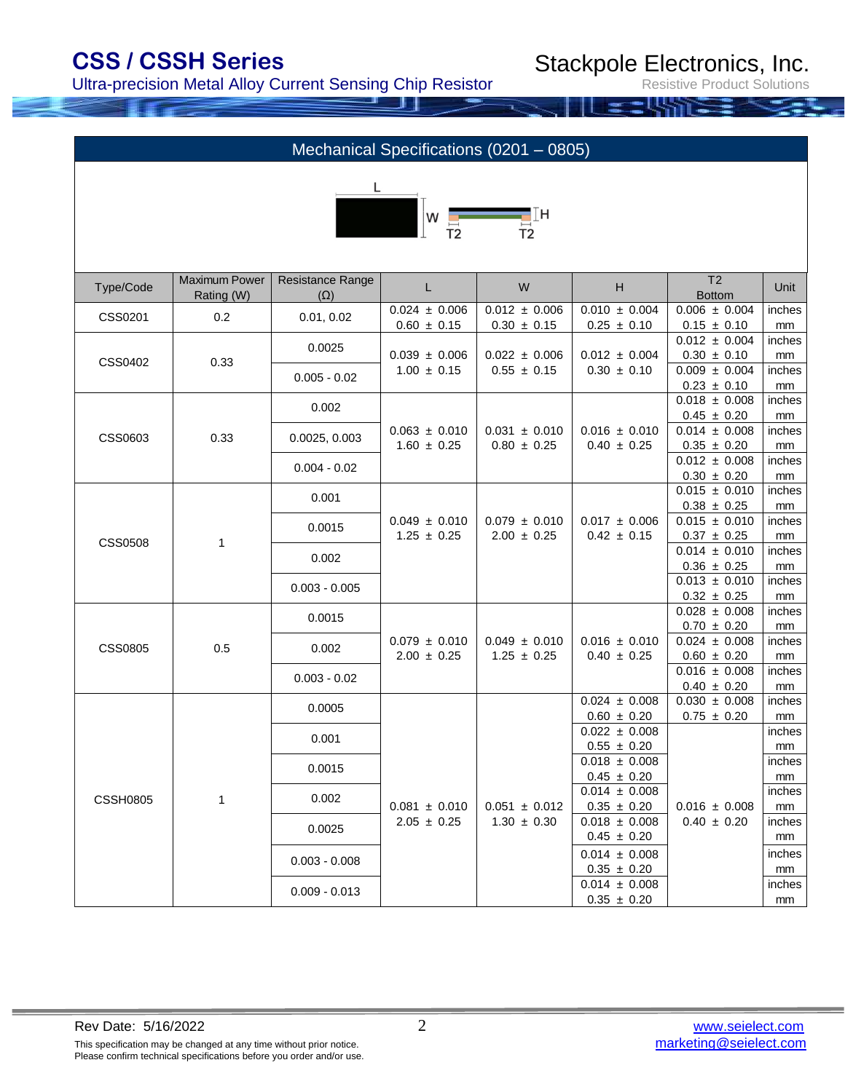Ultra-precision Metal Alloy Current Sensing Chip Resistor

Stackpole Electronics, Inc.

| Mechanical Specifications (0201 - 0805) |                             |                                |                                                                                                 |                   |                                      |                                               |              |  |
|-----------------------------------------|-----------------------------|--------------------------------|-------------------------------------------------------------------------------------------------|-------------------|--------------------------------------|-----------------------------------------------|--------------|--|
|                                         |                             |                                | $\begin{bmatrix} 1 \\ 1 \\ 1 \end{bmatrix}$ w $\begin{bmatrix} 1 \\ \frac{1}{12} \end{bmatrix}$ |                   |                                      |                                               |              |  |
| Type/Code                               | Maximum Power<br>Rating (W) | Resistance Range<br>$(\Omega)$ | L                                                                                               | W                 | H                                    | T <sub>2</sub><br><b>Bottom</b>               | Unit         |  |
| CSS0201                                 | 0.2                         | 0.01, 0.02                     | $0.024 \pm 0.006$                                                                               | $0.012 \pm 0.006$ | $0.010 \pm 0.004$                    | $0.006 \pm 0.004$                             | inches       |  |
|                                         |                             |                                | $0.60 \pm 0.15$                                                                                 | $0.30 \pm 0.15$   | $0.25 \pm 0.10$                      | $0.15 \pm 0.10$<br>$\overline{0.012}$ ± 0.004 | mm<br>inches |  |
|                                         |                             | 0.0025                         | $0.039 \pm 0.006$<br>$1.00 \pm 0.15$                                                            | $0.022 \pm 0.006$ | $0.012 \pm 0.004$                    | $0.30 \pm 0.10$                               | $\text{mm}$  |  |
| CSS0402                                 | 0.33                        | $0.005 - 0.02$                 |                                                                                                 | $0.55 \pm 0.15$   | $0.30 \pm 0.10$                      | $0.009 \pm 0.004$                             | inches       |  |
|                                         |                             |                                |                                                                                                 |                   |                                      | $0.23 \pm 0.10$                               | mm           |  |
|                                         |                             | 0.002                          |                                                                                                 |                   |                                      | $0.018 \pm 0.008$                             | inches       |  |
|                                         | 0.33                        |                                | $0.063 \pm 0.010$                                                                               |                   |                                      | $0.45 \pm 0.20$                               | mm           |  |
| CSS0603                                 |                             | 0.0025, 0.003                  |                                                                                                 | $0.031 \pm 0.010$ | $0.016 \pm 0.010$                    | $0.014 \pm 0.008$                             | inches       |  |
|                                         |                             |                                | $1.60 \pm 0.25$                                                                                 | $0.80 \pm 0.25$   | $0.40 \pm 0.25$                      | $0.35 \pm 0.20$<br>$0.012 \pm 0.008$          | mm<br>inches |  |
|                                         |                             | $0.004 - 0.02$                 |                                                                                                 |                   |                                      | $0.30 \pm 0.20$                               | mm           |  |
|                                         |                             |                                |                                                                                                 |                   |                                      | $0.015 \pm 0.010$                             | inches       |  |
| <b>CSS0508</b>                          |                             | 0.001                          |                                                                                                 |                   |                                      | $0.38 \pm 0.25$                               | mm           |  |
|                                         |                             | 0.0015                         | $0.049 \pm 0.010$                                                                               | $0.079 \pm 0.010$ | $0.017 \pm 0.006$                    | $\overline{0.015}$ ± 0.010                    | inches       |  |
|                                         | $\mathbf{1}$                |                                | $1.25 \pm 0.25$                                                                                 | $2.00 \pm 0.25$   | $0.42 \pm 0.15$                      | $0.37 \pm 0.25$                               | mm           |  |
|                                         |                             | 0.002                          |                                                                                                 |                   |                                      | $0.014 \pm 0.010$                             | inches       |  |
|                                         |                             |                                |                                                                                                 |                   |                                      | $0.36 \pm 0.25$                               | mm           |  |
|                                         |                             | $0.003 - 0.005$                |                                                                                                 |                   |                                      | $0.013 \pm 0.010$                             | inches       |  |
|                                         |                             |                                |                                                                                                 |                   |                                      | $0.32 \pm 0.25$<br>$0.028 \pm 0.008$          | mm<br>inches |  |
|                                         |                             | 0.0015                         |                                                                                                 |                   |                                      | $0.70 \pm 0.20$                               | mm           |  |
|                                         |                             |                                | $0.079 \pm 0.010$                                                                               | $0.049 \pm 0.010$ | $0.016 \pm 0.010$                    | $0.024 \pm 0.008$                             | inches       |  |
| <b>CSS0805</b>                          | 0.5                         | 0.002                          | $2.00 \pm 0.25$                                                                                 | $1.25 \pm 0.25$   | $0.40 \pm 0.25$                      | $0.60 \pm 0.20$                               | mm           |  |
|                                         |                             | $0.003 - 0.02$                 |                                                                                                 |                   |                                      | $0.016 \pm 0.008$                             | inches       |  |
|                                         |                             |                                |                                                                                                 |                   |                                      | $0.40 \pm 0.20$                               | mm           |  |
|                                         |                             | 0.0005                         |                                                                                                 |                   | $0.024 \pm 0.008$<br>$0.60 \pm 0.20$ | $0.030 \pm 0.008$<br>$0.75 \pm 0.20$          | inches<br>mm |  |
|                                         |                             |                                |                                                                                                 |                   | $0.022 \pm 0.008$                    |                                               | inches       |  |
|                                         |                             | 0.001                          |                                                                                                 |                   | $0.55 \pm 0.20$                      |                                               | mm           |  |
|                                         |                             | 0.0015                         |                                                                                                 |                   | $0.018 \pm 0.008$                    |                                               | inches       |  |
|                                         |                             |                                |                                                                                                 |                   | $0.45 \pm 0.20$                      |                                               | mm           |  |
| <b>CSSH0805</b>                         | $\mathbf{1}$                | 0.002                          |                                                                                                 |                   | $0.014 \pm 0.008$                    |                                               | inches       |  |
|                                         |                             |                                | $0.081 \pm 0.010$                                                                               | $0.051 \pm 0.012$ | $0.35 \pm 0.20$                      | $0.016 \pm 0.008$                             | mm           |  |
|                                         |                             | 0.0025                         | $2.05 \pm 0.25$                                                                                 | $1.30 \pm 0.30$   | $0.018 \pm 0.008$<br>$0.45 \pm 0.20$ | $0.40 \pm 0.20$                               | inches<br>mm |  |
|                                         |                             |                                |                                                                                                 |                   | $0.014 \pm 0.008$                    |                                               | inches       |  |
|                                         |                             | $0.003 - 0.008$                |                                                                                                 |                   | $0.35 \pm 0.20$                      |                                               | mm           |  |
|                                         |                             |                                |                                                                                                 |                   | $0.014 \pm 0.008$                    |                                               | inches       |  |
|                                         |                             | $0.009 - 0.013$                |                                                                                                 |                   | $0.35 \pm 0.20$                      |                                               | mm           |  |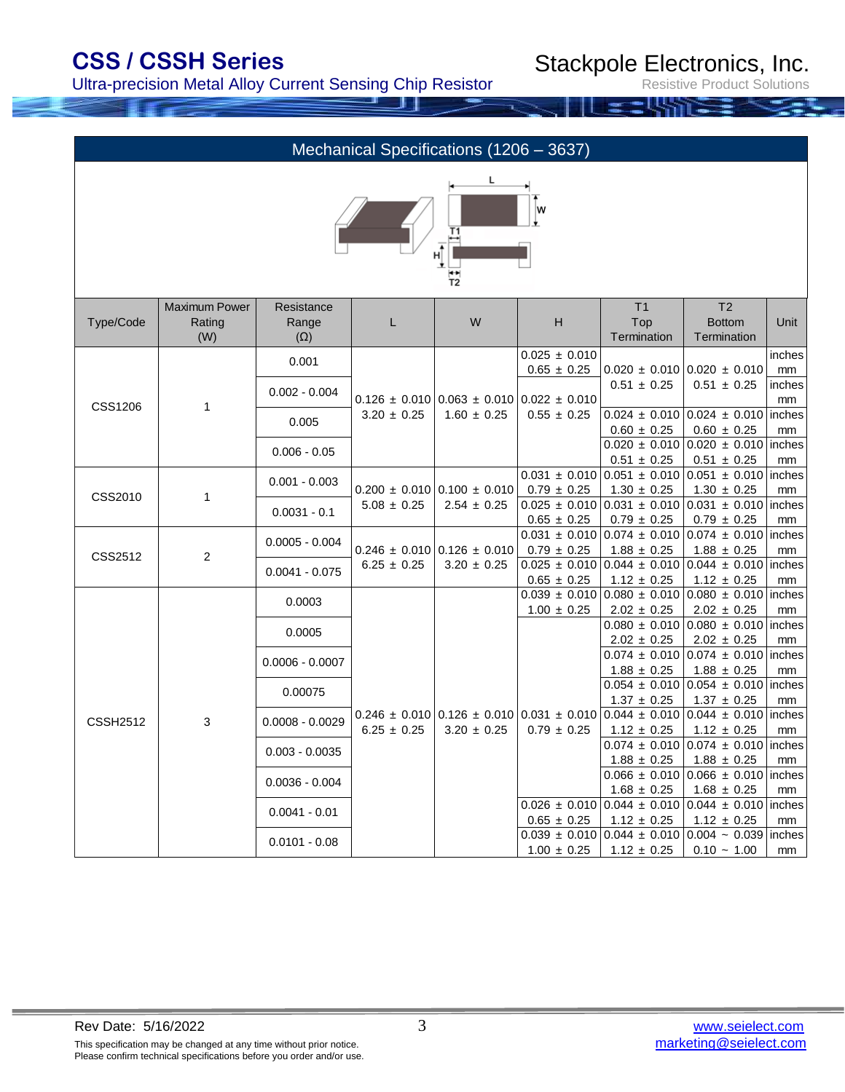Ultra-precision Metal Alloy Current Sensing Chip Resistor

Stackpole Electronics, Inc.

| Mechanical Specifications (1206 - 3637) |                                       |                                   |                                     |                                                          |                                                                     |                                                                                                                           |                                                                                            |                    |  |
|-----------------------------------------|---------------------------------------|-----------------------------------|-------------------------------------|----------------------------------------------------------|---------------------------------------------------------------------|---------------------------------------------------------------------------------------------------------------------------|--------------------------------------------------------------------------------------------|--------------------|--|
| L<br>w<br>Τ1<br>$\frac{1}{12}$          |                                       |                                   |                                     |                                                          |                                                                     |                                                                                                                           |                                                                                            |                    |  |
| Type/Code                               | <b>Maximum Power</b><br>Rating<br>(W) | Resistance<br>Range<br>$(\Omega)$ | L                                   | W                                                        | H                                                                   | T <sub>1</sub><br>Top<br>Termination                                                                                      | T <sub>2</sub><br><b>Bottom</b><br>Termination                                             | Unit               |  |
|                                         |                                       | 0.001                             |                                     |                                                          | $0.025 \pm 0.010$<br>$0.65 \pm 0.25$                                |                                                                                                                           | $0.020 \pm 0.010$ 0.020 $\pm 0.010$                                                        | inches             |  |
| <b>CSS1206</b>                          | 1                                     | $0.002 - 0.004$                   |                                     |                                                          | $0.126 \pm 0.010 \, \vert 0.063 \pm 0.010 \, \vert 0.022 \pm 0.010$ | $0.51 \pm 0.25$                                                                                                           | $0.51 \pm 0.25$                                                                            | mm<br>inches<br>mm |  |
|                                         |                                       | 0.005                             | $3.20 \pm 0.25$                     | $1.60 \pm 0.25$                                          | $0.55 \pm 0.25$                                                     | $0.60 \pm 0.25$                                                                                                           | $0.024 \pm 0.010$ 0.024 $\pm$ 0.010 inches<br>$0.60 \pm 0.25$                              | mm                 |  |
|                                         |                                       | $0.006 - 0.05$                    |                                     |                                                          |                                                                     | $0.51 \pm 0.25$                                                                                                           | $0.020 \pm 0.010$ 0.020 $\pm 0.010$<br>$0.51 \pm 0.25$                                     | inches<br>mm       |  |
|                                         | 1                                     | $0.001 - 0.003$                   | $0.200 \pm 0.010$ 0.100 $\pm$ 0.010 |                                                          | $0.031 \pm 0.010$<br>$0.79 \pm 0.25$                                |                                                                                                                           | $0.051 \pm 0.010$ 0.051 $\pm$ 0.010 inches<br>$1.30 \pm 0.25$                              |                    |  |
| CSS2010                                 |                                       | $0.0031 - 0.1$                    | $5.08 \pm 0.25$                     | $2.54 \pm 0.25$                                          | $0.65 \pm 0.25$                                                     | $1.30 \pm 0.25$<br>$0.025 \pm 0.010 \, 0.031 \pm 0.010$<br>$0.79 \pm 0.25$                                                | $0.031 \pm 0.010$ inches<br>$0.79 \pm 0.25$                                                | mm<br>mm           |  |
|                                         |                                       | $0.0005 - 0.004$                  |                                     | $0.031 \pm 0.010$<br>$0.246 \pm 0.010$ 0.126 $\pm$ 0.010 |                                                                     | $0.074 \pm 0.010$                                                                                                         | $0.074 \pm 0.010$ inches<br>$1.88 \pm 0.25$                                                |                    |  |
| CSS2512                                 | $\mathbf{2}$                          | $0.0041 - 0.075$                  | $6.25 \pm 0.25$                     | $3.20 \pm 0.25$                                          | $0.79 \pm 0.25$<br>$0.65 \pm 0.25$                                  | $1.88 \pm 0.25$<br>$1.12 \pm 0.25$                                                                                        | $0.025 \pm 0.010 \,   0.044 \pm 0.010 \,   0.044 \pm 0.010 \,  $ inches<br>$1.12 \pm 0.25$ | mm<br>mm           |  |
|                                         |                                       | 0.0003                            |                                     |                                                          |                                                                     | $0.039 \pm 0.010 \,   0.080 \pm 0.010 \,  $                                                                               | $0.080 \pm 0.010$ inches                                                                   |                    |  |
|                                         |                                       | 0.0005                            |                                     |                                                          | $1.00 \pm 0.25$                                                     | $2.02 \pm 0.25$<br>$2.02 \pm 0.25$                                                                                        | $2.02 \pm 0.25$<br>$0.080 \pm 0.010$ 0.080 $\pm$ 0.010 inches<br>$2.02 \pm 0.25$           | mm<br>mm           |  |
|                                         |                                       | $0.0006 - 0.0007$                 |                                     |                                                          |                                                                     |                                                                                                                           | $0.074 \pm 0.010 \, \vert 0.074 \pm 0.010 \, \vert$                                        | inches             |  |
|                                         |                                       | 0.00075                           |                                     |                                                          |                                                                     | $1.88 \pm 0.25$                                                                                                           | $1.88 \pm 0.25$<br>$0.054 \pm 0.010$ 0.054 $\pm$ 0.010 inches                              | mm                 |  |
| <b>CSSH2512</b>                         | 3                                     | $0.0008 - 0.0029$                 | $6.25 \pm 0.25$                     | $3.20 \pm 0.25$                                          | $0.79 \pm 0.25$                                                     | $1.37 \pm 0.25$<br>$0.246 \pm 0.010 \cdot 0.126 \pm 0.010 \cdot 0.031 \pm 0.010 \cdot 0.044 \pm 0.010$<br>$1.12 \pm 0.25$ | $1.37 \pm 0.25$<br>$0.044 \pm 0.010$<br>$1.12 \pm 0.25$                                    | mm<br>inches<br>mm |  |
|                                         |                                       | $0.003 - 0.0035$                  |                                     |                                                          |                                                                     | $0.074 \pm 0.010$<br>$1.88 \pm 0.25$                                                                                      | $0.074 \pm 0.010$ inches<br>$1.88 \pm 0.25$                                                | mm                 |  |
|                                         |                                       | $0.0036 - 0.004$                  |                                     |                                                          |                                                                     | $1.68 \pm 0.25$                                                                                                           | $0.066 \pm 0.010$ 0.066 $\pm$ 0.010 inches<br>$1.68 \pm 0.25$                              | mm                 |  |
|                                         |                                       | $0.0041 - 0.01$                   |                                     |                                                          | $0.65 \pm 0.25$                                                     | $1.12 \pm 0.25$                                                                                                           | $0.026 \pm 0.010 \,   0.044 \pm 0.010 \,   0.044 \pm 0.010 \,  $ inches<br>$1.12 \pm 0.25$ | mm                 |  |
|                                         |                                       | $0.0101 - 0.08$                   |                                     |                                                          | $1.00 \pm 0.25$                                                     | $0.039 \pm 0.010$ 0.044 $\pm 0.010$<br>$1.12 \pm 0.25$                                                                    | $0.004 - 0.039$ inches<br>$0.10 - 1.00$                                                    | mm                 |  |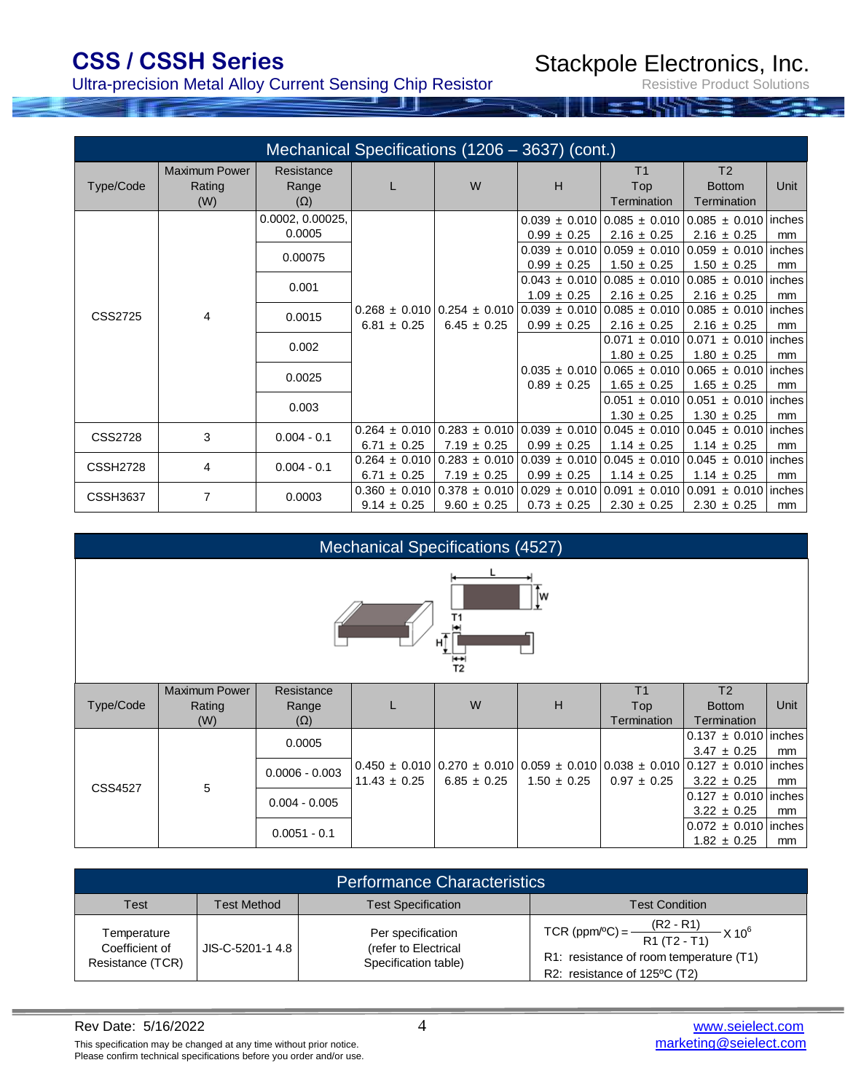### Ultra-precision Metal Alloy Current Sensing Chip Resistor

Stackpole Electronics, Inc.

|                 | Mechanical Specifications (1206 – 3637) (cont.) |                                   |                 |                                                                                                                     |                                                        |                                             |                                                                                                                     |                |  |  |  |
|-----------------|-------------------------------------------------|-----------------------------------|-----------------|---------------------------------------------------------------------------------------------------------------------|--------------------------------------------------------|---------------------------------------------|---------------------------------------------------------------------------------------------------------------------|----------------|--|--|--|
| Type/Code       | <b>Maximum Power</b><br>Rating<br>(W)           | Resistance<br>Range<br>$(\Omega)$ |                 | W                                                                                                                   | H                                                      | T <sub>1</sub><br><b>Top</b><br>Termination | T <sub>2</sub><br><b>Bottom</b><br>Termination                                                                      | Unit           |  |  |  |
| CSS2725<br>4    |                                                 | 0.0002, 0.00025,<br>0.0005        |                 |                                                                                                                     | $0.99 \pm 0.25$                                        | $2.16 \pm 0.25$                             | $0.039 \pm 0.010$   0.085 $\pm$ 0.010   0.085 $\pm$ 0.010   inches<br>$2.16 \pm 0.25$                               | m <sub>m</sub> |  |  |  |
|                 |                                                 | 0.00075                           | $6.81 \pm 0.25$ |                                                                                                                     | $0.99 \pm 0.25$                                        | $1.50 \pm 0.25$                             | $0.039 \pm 0.010$ 0.059 $\pm$ 0.010 0.059 $\pm$ 0.010 linches<br>$1.50 \pm 0.25$                                    | mm             |  |  |  |
|                 |                                                 | 0.001                             |                 | $0.268 \pm 0.010$ 0.254 $\pm$ 0.010 0.039 $\pm$ 0.010 0.085 $\pm$ 0.010 0.085 $\pm$ 0.010 inches<br>$6.45 \pm 0.25$ | $1.09 \pm 0.25$                                        | $2.16 \pm 0.25$                             | $0.043 \pm 0.010$ 0.085 $\pm$ 0.010 0.085 $\pm$ 0.010 inches<br>$2.16 \pm 0.25$                                     | mm             |  |  |  |
|                 |                                                 | 0.0015                            |                 |                                                                                                                     | $0.99 \pm 0.25$                                        | $2.16 \pm 0.25$                             | $2.16 \pm 0.25$                                                                                                     | m <sub>m</sub> |  |  |  |
|                 |                                                 | 0.002                             |                 |                                                                                                                     |                                                        | $1.80 \pm 0.25$                             | $0.071 \pm 0.010$ 0.071 $\pm$ 0.010 linches<br>$1.80 \pm 0.25$                                                      | mm             |  |  |  |
|                 |                                                 | 0.0025                            |                 |                                                                                                                     | $0.89 \pm 0.25$                                        | $1.65 \pm 0.25$                             | $0.035 \pm 0.010$ 0.065 $\pm$ 0.010 0.065 $\pm$ 0.010 inches<br>$1.65 \pm 0.25$                                     | m <sub>m</sub> |  |  |  |
|                 |                                                 | 0.003                             |                 |                                                                                                                     |                                                        | $1.30 \pm 0.25$                             | $0.051 \pm 0.010$ 0.051 $\pm$ 0.010 linches<br>$1.30 \pm 0.25$                                                      | m <sub>m</sub> |  |  |  |
| <b>CSS2728</b>  | 3                                               | $0.004 - 0.1$                     | $6.71 \pm 0.25$ | $7.19 \pm 0.25$                                                                                                     | $0.99 \pm 0.25$                                        | $1.14 \pm 0.25$                             | $0.264 \pm 0.010$ 0.283 $\pm 0.010$ 0.039 $\pm 0.010$ 0.045 $\pm 0.010$ 0.045 $\pm 0.010$ inches<br>$1.14 \pm 0.25$ | m <sub>m</sub> |  |  |  |
| <b>CSSH2728</b> | 4                                               | $0.004 - 0.1$                     | $6.71 \pm 0.25$ | $7.19 \pm 0.25$                                                                                                     | $0.99 \pm 0.25$                                        | $1.14 \pm 0.25$                             | $0.264 \pm 0.010$ 0.283 $\pm 0.010$ 0.039 $\pm 0.010$ 0.045 $\pm 0.010$ 0.045 $\pm 0.010$ inches<br>$1.14 \pm 0.25$ | mm             |  |  |  |
| <b>CSSH3637</b> | 7                                               | 0.0003                            | $9.14 \pm 0.25$ | $0.360 \pm 0.01010.378 \pm 0.0101$<br>$9.60 \pm 0.25$                                                               | $0.029 \pm 0.010$ $0.091 \pm 0.010$<br>$0.73 \pm 0.25$ | $2.30 \pm 0.25$                             | $0.091 \pm 0.010$   inches<br>$2.30 \pm 0.25$                                                                       | mm             |  |  |  |

|                                           | <b>Mechanical Specifications (4527)</b> |                                   |                  |                 |                 |                                                                                                                     |                                                |               |  |
|-------------------------------------------|-----------------------------------------|-----------------------------------|------------------|-----------------|-----------------|---------------------------------------------------------------------------------------------------------------------|------------------------------------------------|---------------|--|
| lw<br>Τ1<br>н $\bar{t}$<br>$\frac{1}{12}$ |                                         |                                   |                  |                 |                 |                                                                                                                     |                                                |               |  |
| Type/Code                                 | <b>Maximum Power</b><br>Rating<br>(W)   | Resistance<br>Range<br>$(\Omega)$ |                  | W               | H               | T <sub>1</sub><br>Top<br>Termination                                                                                | T <sub>2</sub><br><b>Bottom</b><br>Termination | Unit          |  |
|                                           |                                         | 0.0005                            |                  |                 |                 |                                                                                                                     | $0.137 \pm 0.010$ inches<br>$3.47 \pm 0.25$    | mm            |  |
|                                           |                                         | $0.0006 - 0.003$                  | $11.43 \pm 0.25$ | $6.85 \pm 0.25$ | $1.50 \pm 0.25$ | $0.450 \pm 0.010$ 0.270 $\pm 0.010$ 0.059 $\pm 0.010$ 0.038 $\pm 0.010$ 0.127 $\pm 0.010$ inches<br>$0.97 \pm 0.25$ | $3.22 \pm 0.25$                                | <sub>mm</sub> |  |
| <b>CSS4527</b>                            | 5                                       | $0.004 - 0.005$                   |                  |                 |                 |                                                                                                                     | $0.127 \pm 0.010$ inches<br>$3.22 \pm 0.25$    | <sub>mm</sub> |  |
|                                           |                                         | $0.0051 - 0.1$                    |                  |                 |                 |                                                                                                                     | $0.072 \pm 0.010$ inches<br>$1.82 \pm 0.25$    | mm            |  |

| <b>Performance Characteristics</b>                |                    |                                                                   |                                                                                                                                                          |  |  |  |  |
|---------------------------------------------------|--------------------|-------------------------------------------------------------------|----------------------------------------------------------------------------------------------------------------------------------------------------------|--|--|--|--|
| Test                                              | <b>Test Method</b> | <b>Test Specification</b>                                         | <b>Test Condition</b>                                                                                                                                    |  |  |  |  |
| Temperature<br>Coefficient of<br>Resistance (TCR) | JIS-C-5201-1 4.8   | Per specification<br>(refer to Electrical<br>Specification table) | TCR (ppm <sup>o</sup> C) = $\frac{(R2 - R1)}{R1 (T2 - T1)}$ X 10 <sup>6</sup><br>R1: resistance of room temperature (T1)<br>R2: resistance of 125°C (T2) |  |  |  |  |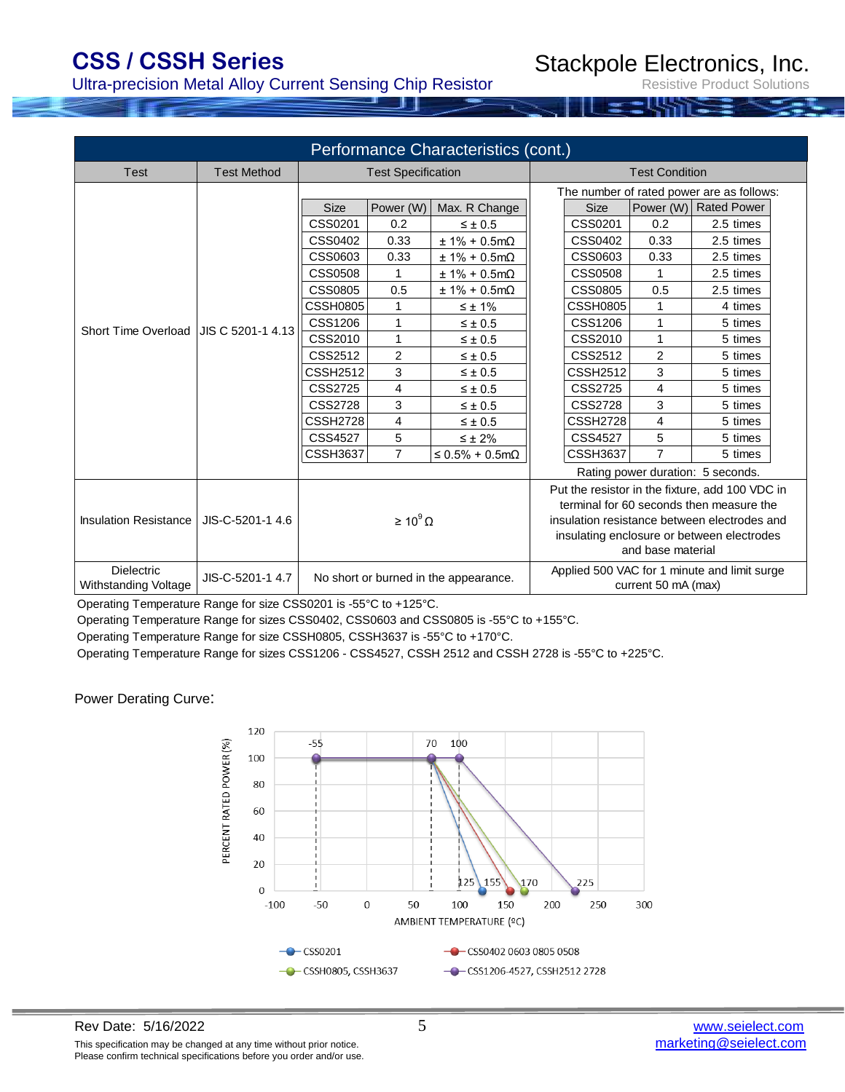### Ultra-precision Metal Alloy Current Sensing Chip Resistor

Stackpole Electronics, Inc.

Resistive Product Solutions

| Performance Characteristics (cont.) |                                       |                 |                           |                                       |                     |                                           |                   |                                                 |  |
|-------------------------------------|---------------------------------------|-----------------|---------------------------|---------------------------------------|---------------------|-------------------------------------------|-------------------|-------------------------------------------------|--|
| Test                                | <b>Test Method</b>                    |                 | <b>Test Specification</b> |                                       |                     | <b>Test Condition</b>                     |                   |                                                 |  |
|                                     |                                       |                 |                           |                                       |                     | The number of rated power are as follows: |                   |                                                 |  |
|                                     |                                       | <b>Size</b>     | Power (W)                 | Max. R Change                         |                     | <b>Size</b>                               | Power (W)         | <b>Rated Power</b>                              |  |
|                                     |                                       | CSS0201         | 0.2                       | $\leq \pm 0.5$                        |                     | CSS0201                                   | 0.2               | 2.5 times                                       |  |
|                                     |                                       | CSS0402         | 0.33                      | $± 1\% + 0.5mΩ$                       |                     | CSS0402                                   | 0.33              | 2.5 times                                       |  |
|                                     |                                       | CSS0603         | 0.33                      | $± 1\% + 0.5mΩ$                       |                     | CSS0603                                   | 0.33              | 2.5 times                                       |  |
|                                     |                                       | <b>CSS0508</b>  | 1                         | $± 1\% + 0.5mΩ$                       |                     | CSS0508                                   | 1                 | 2.5 times                                       |  |
|                                     |                                       | CSS0805         | 0.5                       | $± 1\% + 0.5mΩ$                       |                     | CSS0805                                   | 0.5               | 2.5 times                                       |  |
|                                     |                                       | <b>CSSH0805</b> | 1                         | $\leq \pm 1\%$                        |                     | <b>CSSH0805</b>                           |                   | 4 times                                         |  |
|                                     | Short Time Overload UIS C 5201-1 4.13 | <b>CSS1206</b>  | 1                         | $\leq \pm 0.5$                        |                     | CSS1206                                   | 1                 | 5 times                                         |  |
|                                     |                                       | CSS2010         | 1                         | $\leq \pm 0.5$                        |                     | CSS2010                                   | 1                 | 5 times                                         |  |
|                                     |                                       | CSS2512         | $\overline{2}$            | $\leq \pm 0.5$                        |                     | CSS2512                                   | 2                 | 5 times                                         |  |
|                                     |                                       | CSSH2512        | 3                         | $\leq \pm 0.5$                        |                     | <b>CSSH2512</b>                           | 3                 | 5 times                                         |  |
|                                     |                                       | <b>CSS2725</b>  | 4                         | $\leq \pm 0.5$                        |                     | <b>CSS2725</b>                            | 4                 | 5 times                                         |  |
|                                     |                                       | <b>CSS2728</b>  | 3                         | $\leq \pm 0.5$                        |                     | CSS2728                                   | 3                 | 5 times                                         |  |
|                                     |                                       | CSSH2728        | 4                         | $\leq \pm 0.5$                        |                     | <b>CSSH2728</b>                           | 4                 | 5 times                                         |  |
|                                     |                                       | <b>CSS4527</b>  | 5                         | $\leq \pm 2\%$                        |                     | CSS4527                                   | 5                 | 5 times                                         |  |
|                                     |                                       | <b>CSSH3637</b> | 7                         | $\leq$ 0.5% + 0.5m $\Omega$           |                     | <b>CSSH3637</b>                           | 7                 | 5 times                                         |  |
|                                     |                                       |                 |                           |                                       |                     |                                           |                   | Rating power duration: 5 seconds.               |  |
|                                     |                                       |                 |                           |                                       |                     |                                           |                   | Put the resistor in the fixture, add 100 VDC in |  |
|                                     |                                       |                 |                           |                                       |                     |                                           |                   | terminal for 60 seconds then measure the        |  |
| <b>Insulation Resistance</b>        | JIS-C-5201-1 4.6                      |                 | $\geq 10^9 \Omega$        |                                       |                     |                                           |                   | insulation resistance between electrodes and    |  |
|                                     |                                       |                 |                           |                                       |                     |                                           |                   | insulating enclosure or between electrodes      |  |
|                                     |                                       |                 |                           |                                       |                     |                                           | and base material |                                                 |  |
| <b>Dielectric</b>                   | JIS-C-5201-1 4.7                      |                 |                           |                                       |                     |                                           |                   | Applied 500 VAC for 1 minute and limit surge    |  |
| Withstanding Voltage                |                                       |                 |                           | No short or burned in the appearance. | current 50 mA (max) |                                           |                   |                                                 |  |

Operating Temperature Range for size CSS0201 is -55°C to +125°C.

Operating Temperature Range for sizes CSS0402, CSS0603 and CSS0805 is -55°C to +155°C.

Operating Temperature Range for size CSSH0805, CSSH3637 is -55°C to +170°C.

Operating Temperature Range for sizes CSS1206 - CSS4527, CSSH 2512 and CSSH 2728 is -55°C to +225°C.

Power Derating Curve:



Rev Date: 5/16/2022<br>
This specification may be changed at any time without prior notice.<br>
This specification may be changed at any time without prior notice.<br> **Example 1990**<br> **Example 1991**<br> **Example 1991**<br> **Example 1991**<br> This specification may be changed at any time without prior notice. Please confirm technical specifications before you order and/or use.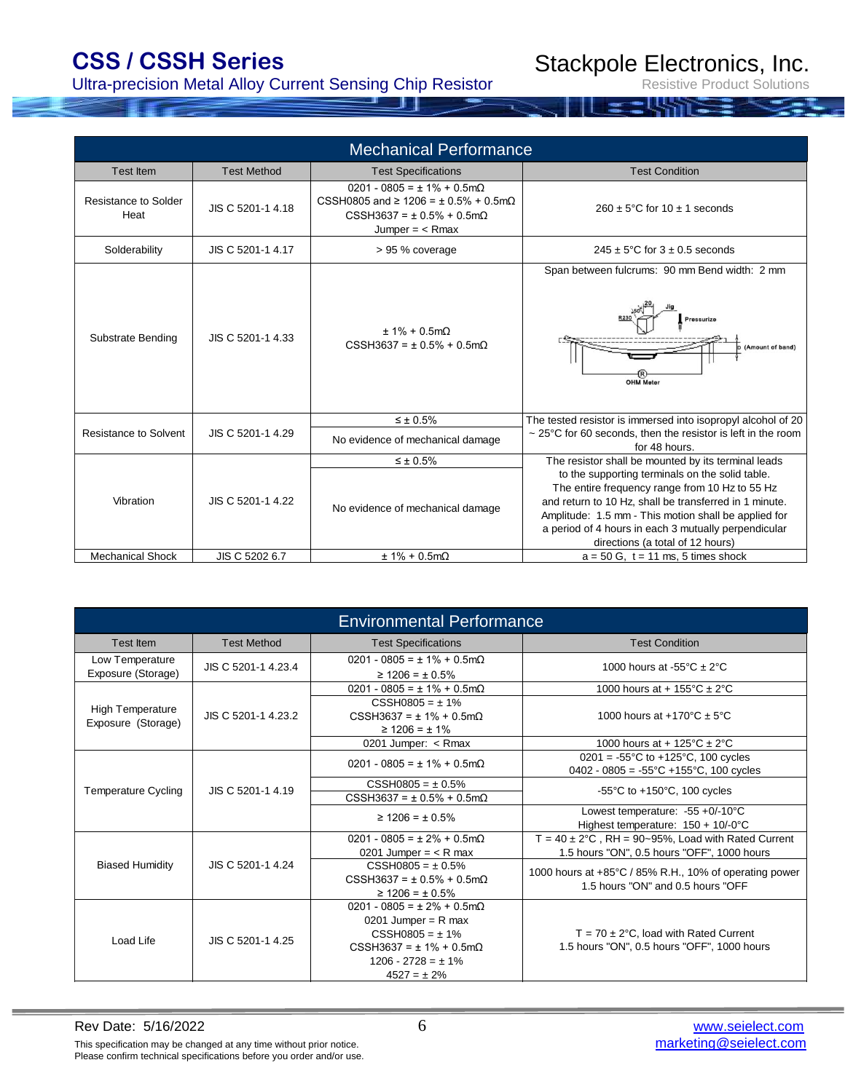### Ultra-precision Metal Alloy Current Sensing Chip Resistor

Stackpole Electronics, Inc.

|                                     |                    | <b>Mechanical Performance</b>                                                                                                                        |                                                                                                                                                                                                                                                                                                                 |
|-------------------------------------|--------------------|------------------------------------------------------------------------------------------------------------------------------------------------------|-----------------------------------------------------------------------------------------------------------------------------------------------------------------------------------------------------------------------------------------------------------------------------------------------------------------|
| Test Item                           | <b>Test Method</b> | <b>Test Specifications</b>                                                                                                                           | <b>Test Condition</b>                                                                                                                                                                                                                                                                                           |
| <b>Resistance to Solder</b><br>Heat | JIS C 5201-1 4.18  | $0201 - 0805 = \pm 1\% + 0.5$ m $\Omega$<br>CSSH0805 and ≥ 1206 = ± 0.5% + 0.5m $\Omega$<br>$CSSH3637 = \pm 0.5\% + 0.5m\Omega$<br>Jumper $=$ < Rmax | $260 \pm 5^{\circ}$ C for 10 $\pm$ 1 seconds                                                                                                                                                                                                                                                                    |
| Solderability                       | JIS C 5201-1 4.17  | > 95 % coverage                                                                                                                                      | $245 \pm 5^{\circ}$ C for $3 \pm 0.5$ seconds                                                                                                                                                                                                                                                                   |
| Substrate Bending                   | JIS C 5201-1 4.33  | $± 1\% + 0.5mΩ$<br>$CSSH3637 = \pm 0.5\% + 0.5m\Omega$                                                                                               | Span between fulcrums: 90 mm Bend width: 2 mm<br>Pressurize<br>(Amount of band)<br><b>OHM Meter</b>                                                                                                                                                                                                             |
|                                     |                    | $\leq \pm 0.5\%$                                                                                                                                     | The tested resistor is immersed into isopropyl alcohol of 20                                                                                                                                                                                                                                                    |
| Resistance to Solvent               | JIS C 5201-1 4.29  | No evidence of mechanical damage                                                                                                                     | $\sim$ 25°C for 60 seconds, then the resistor is left in the room<br>for 48 hours.                                                                                                                                                                                                                              |
|                                     |                    | $\leq \pm 0.5\%$                                                                                                                                     | The resistor shall be mounted by its terminal leads                                                                                                                                                                                                                                                             |
| Vibration                           | JIS C 5201-1 4.22  | No evidence of mechanical damage                                                                                                                     | to the supporting terminals on the solid table.<br>The entire frequency range from 10 Hz to 55 Hz<br>and return to 10 Hz, shall be transferred in 1 minute.<br>Amplitude: 1.5 mm - This motion shall be applied for<br>a period of 4 hours in each 3 mutually perpendicular<br>directions (a total of 12 hours) |
| <b>Mechanical Shock</b>             | JIS C 5202 6.7     | $± 1% + 0.5mΩ$                                                                                                                                       | $a = 50$ G, $t = 11$ ms, 5 times shock                                                                                                                                                                                                                                                                          |

| <b>Environmental Performance</b>              |                     |                                                                                                                                                                               |                                                                                                                     |  |  |  |  |  |
|-----------------------------------------------|---------------------|-------------------------------------------------------------------------------------------------------------------------------------------------------------------------------|---------------------------------------------------------------------------------------------------------------------|--|--|--|--|--|
| Test Item                                     | <b>Test Method</b>  | <b>Test Specifications</b>                                                                                                                                                    | <b>Test Condition</b>                                                                                               |  |  |  |  |  |
| Low Temperature<br>Exposure (Storage)         | JIS C 5201-1 4.23.4 | $0201 - 0805 = \pm 1\% + 0.5$ m $\Omega$<br>$\geq$ 1206 = ± 0.5%                                                                                                              | 1000 hours at -55 $\textdegree$ C $\pm$ 2 $\textdegree$ C                                                           |  |  |  |  |  |
|                                               |                     | $0201 - 0805 = \pm 1\% + 0.5$ m $\Omega$                                                                                                                                      | 1000 hours at + $155^{\circ}$ C ± 2°C                                                                               |  |  |  |  |  |
| <b>High Temperature</b><br>Exposure (Storage) | JIS C 5201-1 4.23.2 | $CSSH0805 = \pm 1\%$<br>$CSSH3637 = \pm 1\% + 0.5m\Omega$<br>$\geq$ 1206 = $\pm$ 1%                                                                                           | 1000 hours at +170 $^{\circ}$ C ± 5 $^{\circ}$ C                                                                    |  |  |  |  |  |
|                                               |                     | 0201 Jumper: < Rmax                                                                                                                                                           | 1000 hours at + $125^{\circ}$ C ± 2 $^{\circ}$ C                                                                    |  |  |  |  |  |
|                                               | JIS C 5201-1 4.19   | $0201 - 0805 = \pm 1\% + 0.5$ m $\Omega$                                                                                                                                      | $0201 = -55^{\circ}$ C to +125 $^{\circ}$ C, 100 cycles<br>$0402 - 0805 = -55^{\circ}C + 155^{\circ}C$ , 100 cycles |  |  |  |  |  |
| <b>Temperature Cycling</b>                    |                     | $CSSH0805 = \pm 0.5\%$                                                                                                                                                        | -55 $\degree$ C to +150 $\degree$ C, 100 cycles                                                                     |  |  |  |  |  |
|                                               |                     | $CSSH3637 = \pm 0.5\% + 0.5m\Omega$                                                                                                                                           |                                                                                                                     |  |  |  |  |  |
|                                               |                     | $\geq$ 1206 = ± 0.5%                                                                                                                                                          | Lowest temperature: $-55 + 0/-10^{\circ}$ C<br>Highest temperature: $150 + 10/-0$ °C                                |  |  |  |  |  |
|                                               |                     | $0201 - 0805 = \pm 2\% + 0.5$ m $\Omega$                                                                                                                                      | $T = 40 \pm 2^{\circ}$ C, RH = 90~95%, Load with Rated Current                                                      |  |  |  |  |  |
|                                               |                     | 0201 Jumper = $<$ R max                                                                                                                                                       | 1.5 hours "ON", 0.5 hours "OFF", 1000 hours                                                                         |  |  |  |  |  |
| <b>Biased Humidity</b>                        | JIS C 5201-1 4.24   | $CSSH0805 = \pm 0.5\%$<br>$CSSH3637 = \pm 0.5\% + 0.5m\Omega$<br>$\geq$ 1206 = ± 0.5%                                                                                         | 1000 hours at +85°C / 85% R.H., 10% of operating power<br>1.5 hours "ON" and 0.5 hours "OFF                         |  |  |  |  |  |
| Load Life                                     | JIS C 5201-1 4.25   | $0201 - 0805 = \pm 2\% + 0.5$ m $\Omega$<br>0201 Jumper = $R$ max<br>$CSSH0805 = \pm 1\%$<br>$CSSH3637 = \pm 1\% + 0.5m\Omega$<br>$1206 - 2728 = \pm 1\%$<br>$4527 = \pm 2\%$ | $T = 70 \pm 2^{\circ}$ C, load with Rated Current<br>1.5 hours "ON", 0.5 hours "OFF", 1000 hours                    |  |  |  |  |  |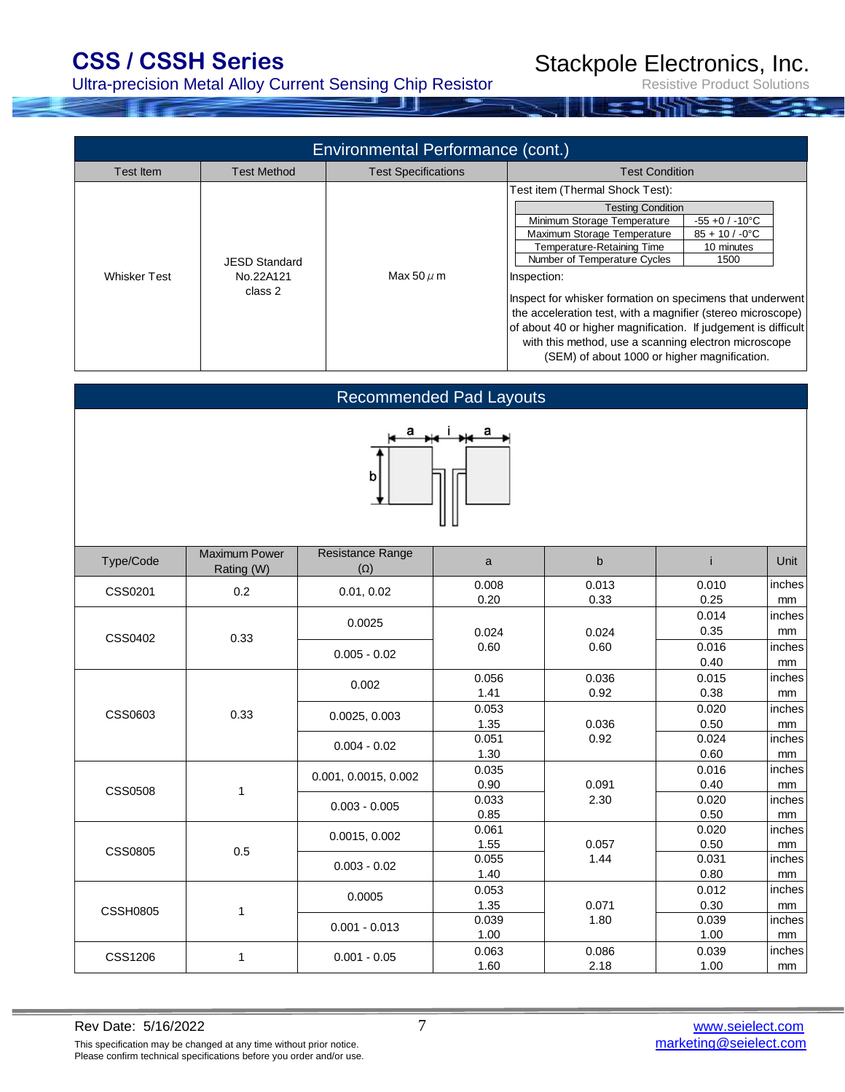### Ultra-precision Metal Alloy Current Sensing Chip Resistor

Stackpole Electronics, Inc.

Resistive Product Solutions

| $-55 + 0 / -10$ °C                                                                                                       |  |  |  |
|--------------------------------------------------------------------------------------------------------------------------|--|--|--|
| $85 + 10 / -0$ °C                                                                                                        |  |  |  |
|                                                                                                                          |  |  |  |
|                                                                                                                          |  |  |  |
|                                                                                                                          |  |  |  |
| Inspect for whisker formation on specimens that underwent<br>the acceleration test, with a magnifier (stereo microscope) |  |  |  |
|                                                                                                                          |  |  |  |
| of about 40 or higher magnification. If judgement is difficult<br>with this method, use a scanning electron microscope   |  |  |  |
| (SEM) of about 1000 or higher magnification.                                                                             |  |  |  |
| 10 minutes<br>1500                                                                                                       |  |  |  |

| <b>Recommended Pad Layouts</b> |                                    |                                |               |                |                                |                              |  |  |  |  |  |
|--------------------------------|------------------------------------|--------------------------------|---------------|----------------|--------------------------------|------------------------------|--|--|--|--|--|
| а<br>a<br>b                    |                                    |                                |               |                |                                |                              |  |  |  |  |  |
| Type/Code                      | <b>Maximum Power</b><br>Rating (W) | Resistance Range<br>$(\Omega)$ | $\mathsf{a}$  | $\mathsf b$    | j                              | Unit                         |  |  |  |  |  |
| CSS0201                        | 0.2                                | 0.01, 0.02                     | 0.008<br>0.20 | 0.013<br>0.33  | 0.010<br>0.25                  | inches<br>mm                 |  |  |  |  |  |
| CSS0402                        | 0.33                               | 0.0025<br>$0.005 - 0.02$       | 0.024<br>0.60 | 0.024<br>0.60  | 0.014<br>0.35<br>0.016<br>0.40 | inches<br>mm<br>inches<br>mm |  |  |  |  |  |
|                                |                                    | 0.002                          | 0.056<br>1.41 | 0.036<br>0.92  | 0.015<br>0.38                  | inches<br>mm                 |  |  |  |  |  |
| CSS0603                        | 0.33                               | 0.0025, 0.003                  | 0.053<br>1.35 | 0.036          | 0.020<br>0.50                  | inches<br>mm                 |  |  |  |  |  |
|                                |                                    | $0.004 - 0.02$                 | 0.051<br>1.30 | 0.92           | 0.024<br>0.60                  | inches<br>mm                 |  |  |  |  |  |
| <b>CSS0508</b>                 | 1                                  | 0.001, 0.0015, 0.002           | 0.035<br>0.90 | 0.091          | 0.016<br>0.40                  | inches<br>mm                 |  |  |  |  |  |
|                                |                                    | $0.003 - 0.005$                | 0.033<br>0.85 | 2.30           | 0.020<br>0.50                  | inches<br>mm                 |  |  |  |  |  |
|                                |                                    | 0.0015, 0.002                  | 0.061<br>1.55 | 0.057          | 0.020<br>0.50                  | inches<br>mm                 |  |  |  |  |  |
| <b>CSS0805</b>                 | 0.5                                | $0.003 - 0.02$                 | 0.055<br>1.40 | 1.44           | 0.031<br>0.80                  | inches<br>mm                 |  |  |  |  |  |
|                                |                                    | 0.0005                         | 0.053<br>1.35 | 0.071          | 0.012<br>0.30                  | inches<br>mm                 |  |  |  |  |  |
| <b>CSSH0805</b>                | 1                                  |                                | 0.000         | $\overline{1}$ | 0.000                          |                              |  |  |  |  |  |

CSS1206

1

0.001 - 0.05

0.001 - 0.013

0.039 | 1.80 | 0.039 | inches 1.00 1.00 mm 0.063 0.086 0.039 inches 1.60 2.18 1.00 mm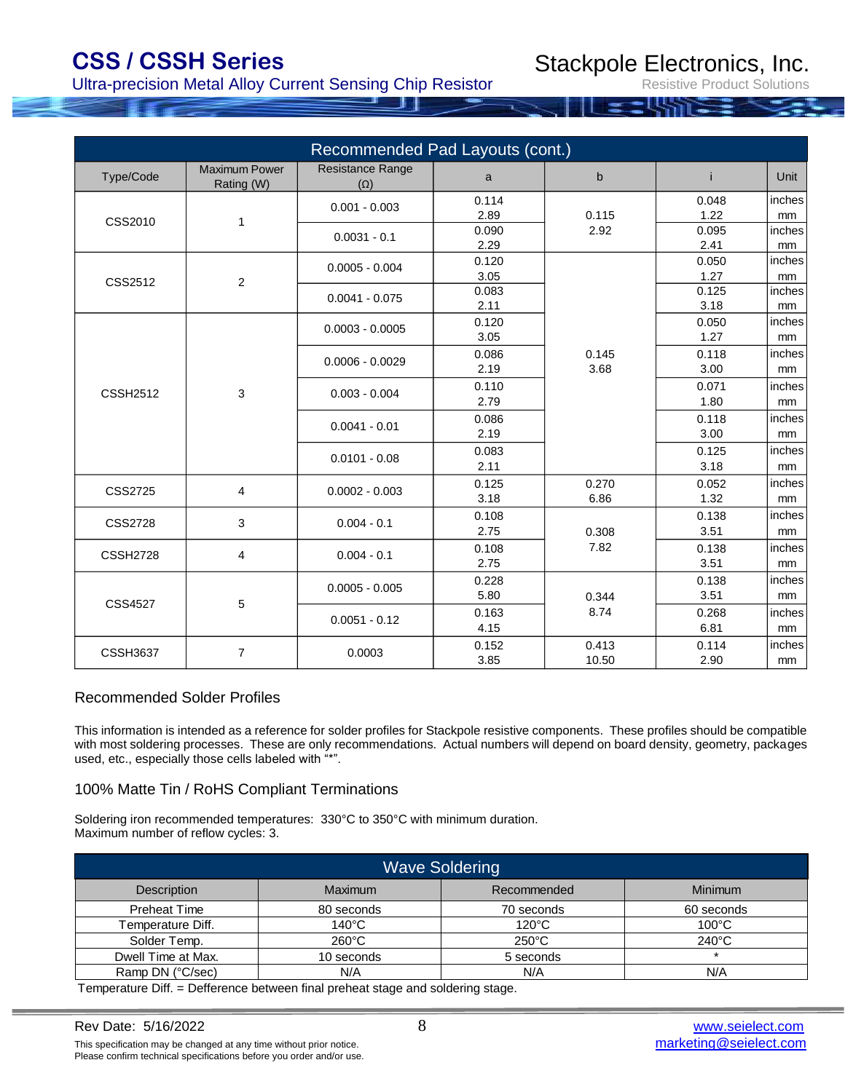Ultra-precision Metal Alloy Current Sensing Chip Resistor

Stackpole Electronics, Inc.

Resistive Product Solutions

|                 |                                    | Recommended Pad Layouts (cont.) |                   |                |               |                         |              |
|-----------------|------------------------------------|---------------------------------|-------------------|----------------|---------------|-------------------------|--------------|
| Type/Code       | <b>Maximum Power</b><br>Rating (W) | Resistance Range<br>$(\Omega)$  | a                 | $\mathbf b$    | j.            | <b>Unit</b>             |              |
| CSS2010         | 1                                  | $0.001 - 0.003$                 | 0.114<br>2.89     | 0.115          | 0.048<br>1.22 | inches<br>mm            |              |
|                 |                                    | $0.0031 - 0.1$                  | 0.090<br>2.29     | 2.92           | 0.095<br>2.41 | inches<br>mm            |              |
| CSS2512         | $\overline{2}$                     | $0.0005 - 0.004$                | 0.120<br>3.05     |                | 0.050<br>1.27 | inches<br>mm            |              |
|                 |                                    | $0.0041 - 0.075$                | 0.083<br>2.11     |                | 0.125<br>3.18 | inches<br>mm            |              |
|                 |                                    | $0.0003 - 0.0005$               | 0.120<br>3.05     |                | 0.050<br>1.27 | inches<br>mm            |              |
| <b>CSSH2512</b> | 3                                  |                                 | $0.0006 - 0.0029$ | 0.086<br>2.19  | 0.145<br>3.68 | 0.118<br>3.00           | inches<br>mm |
|                 |                                    |                                 | $0.003 - 0.004$   | 0.110<br>2.79  |               | 0.071<br>1.80           | inches<br>mm |
|                 |                                    |                                 | $0.0041 - 0.01$   | 0.086<br>2.19  |               | 0.118<br>3.00           | inches<br>mm |
|                 |                                    | $0.0101 - 0.08$                 | 0.083<br>2.11     |                | 0.125<br>3.18 | inches<br>mm            |              |
| <b>CSS2725</b>  | $\overline{4}$                     | $0.0002 - 0.003$                | 0.125<br>3.18     | 0.270<br>6.86  | 0.052<br>1.32 | inches<br>mm            |              |
| <b>CSS2728</b>  | 3                                  | $0.004 - 0.1$                   | 0.108<br>2.75     | 0.308          | 0.138<br>3.51 | inches<br>mm            |              |
| <b>CSSH2728</b> | 4                                  | $0.004 - 0.1$                   | 0.108<br>2.75     | 7.82           | 0.138<br>3.51 | inches<br>mm            |              |
|                 |                                    | $0.0005 - 0.005$                | 0.228<br>5.80     | 0.344          | 0.138<br>3.51 | inches<br>mm            |              |
| <b>CSS4527</b>  | 5                                  | $0.0051 - 0.12$                 | 0.163<br>4.15     | 8.74           | 0.268<br>6.81 | inches<br><sub>mm</sub> |              |
| <b>CSSH3637</b> | $\overline{7}$                     | 0.0003                          | 0.152<br>3.85     | 0.413<br>10.50 | 0.114<br>2.90 | inches<br>mm            |              |

#### Recommended Solder Profiles

This information is intended as a reference for solder profiles for Stackpole resistive components. These profiles should be compatible with most soldering processes. These are only recommendations. Actual numbers will depend on board density, geometry, packages used, etc., especially those cells labeled with "\*".

#### 100% Matte Tin / RoHS Compliant Terminations

Soldering iron recommended temperatures: 330°C to 350°C with minimum duration. Maximum number of reflow cycles: 3.

| <b>Wave Soldering</b> |                 |                 |                 |  |  |  |  |  |  |  |
|-----------------------|-----------------|-----------------|-----------------|--|--|--|--|--|--|--|
| <b>Description</b>    | <b>Maximum</b>  | Recommended     | <b>Minimum</b>  |  |  |  |  |  |  |  |
| <b>Preheat Time</b>   | 80 seconds      | 70 seconds      | 60 seconds      |  |  |  |  |  |  |  |
| Temperature Diff.     | $140^{\circ}$ C | $120^{\circ}$ C | $100^{\circ}$ C |  |  |  |  |  |  |  |
| Solder Temp.          | $260^{\circ}$ C | $250^{\circ}$ C | $240^{\circ}$ C |  |  |  |  |  |  |  |
| Dwell Time at Max.    | 10 seconds      | 5 seconds       |                 |  |  |  |  |  |  |  |
| Ramp DN (°C/sec)      | N/A             | N/A             | N/A             |  |  |  |  |  |  |  |

Temperature Diff. = Defference between final preheat stage and soldering stage.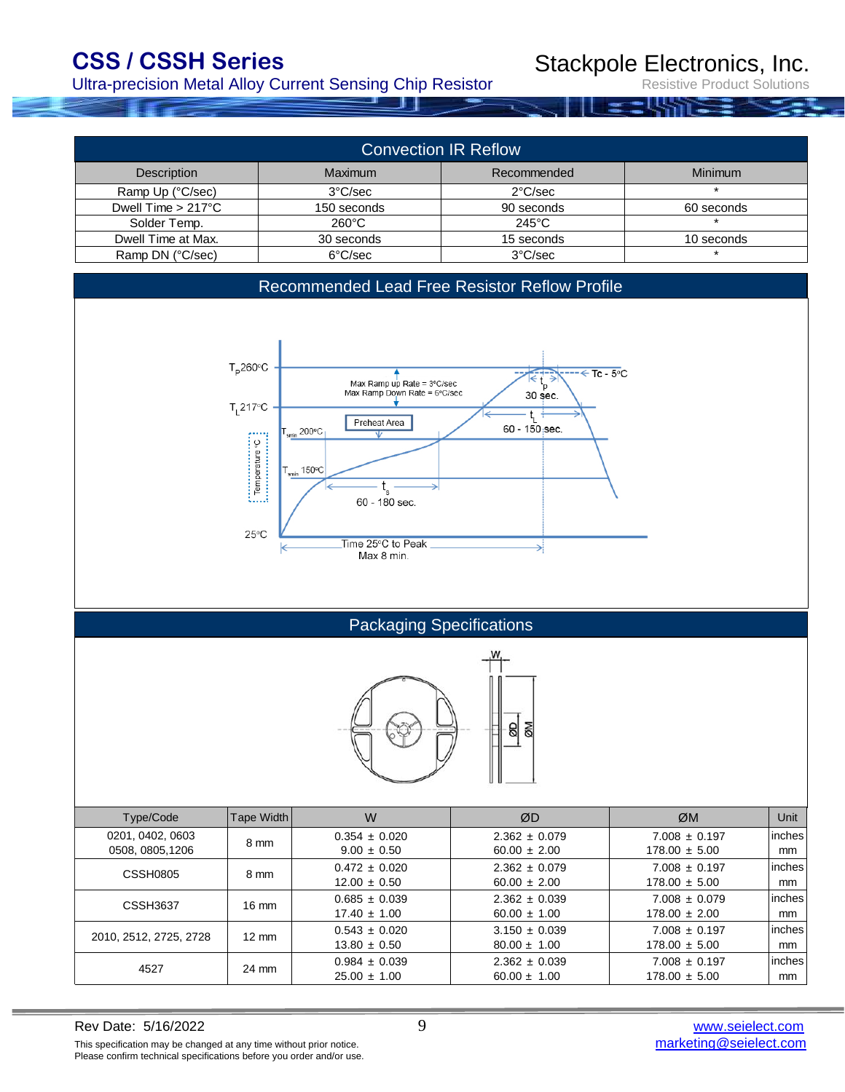Ultra-precision Metal Alloy Current Sensing Chip Resistor

Stackpole Electronics, Inc.

| <b>Convection IR Reflow</b>  |                 |                   |            |  |  |  |  |  |  |  |  |
|------------------------------|-----------------|-------------------|------------|--|--|--|--|--|--|--|--|
| Description                  | Maximum         | Recommended       | Minimum    |  |  |  |  |  |  |  |  |
| Ramp Up (°C/sec)             | 3°C/sec         | $2^{\circ}$ C/sec |            |  |  |  |  |  |  |  |  |
| Dwell Time $> 217^{\circ}$ C | 150 seconds     | 90 seconds        | 60 seconds |  |  |  |  |  |  |  |  |
| Solder Temp.                 | $260^{\circ}$ C | $245^{\circ}$ C   |            |  |  |  |  |  |  |  |  |
| Dwell Time at Max.           | 30 seconds      | 15 seconds        | 10 seconds |  |  |  |  |  |  |  |  |
| Ramp DN (°C/sec)             | 6°C/sec         | 3°C/sec           |            |  |  |  |  |  |  |  |  |

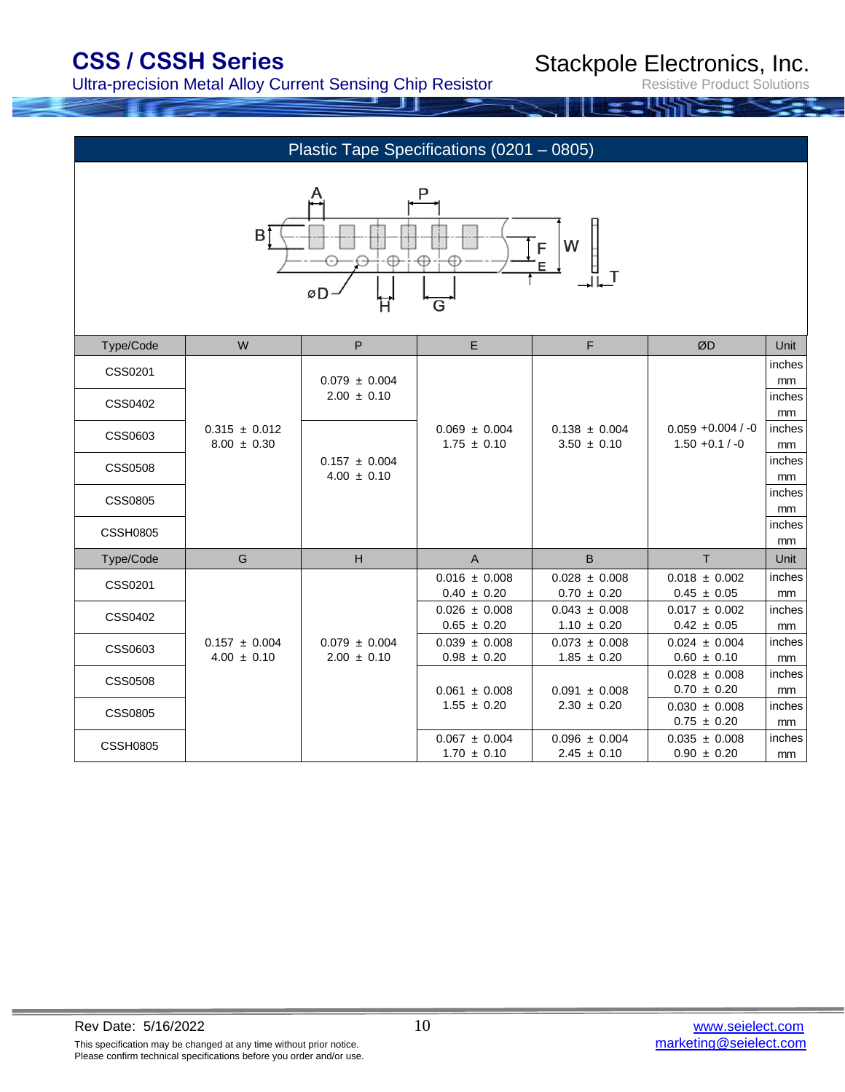Ultra-precision Metal Alloy Current Sensing Chip Resistor

Stackpole Electronics, Inc.

|                 |                                      |                                      | Plastic Tape Specifications (0201 - 0805)             |                                                      |                                      |              |
|-----------------|--------------------------------------|--------------------------------------|-------------------------------------------------------|------------------------------------------------------|--------------------------------------|--------------|
|                 | ВŤ                                   | -⊕-<br>øD-                           | P<br>$\neg \oplus \neg$<br>$\oplus$<br>$\overline{G}$ | ${\sf W}$<br>$F_{\underline{E}}$<br>$\Box \Box^\top$ |                                      |              |
| Type/Code       | ${\sf W}$                            | $\mathsf P$                          | $\mathsf E$                                           | $\mathsf F$                                          | ØD                                   | Unit         |
| CSS0201         |                                      | $0.079 \pm 0.004$                    |                                                       |                                                      |                                      | inches<br>mm |
| CSS0402         |                                      | $2.00 \pm 0.10$                      |                                                       |                                                      |                                      | inches       |
|                 | $0.315 \pm 0.012$                    |                                      | $0.069 \pm 0.004$                                     | $0.138 \pm 0.004$                                    | $0.059 + 0.004 / -0$                 | mm<br>inches |
| CSS0603         | $8.00 \pm 0.30$                      |                                      | $1.75 \pm 0.10$                                       | $3.50 \pm 0.10$                                      | $1.50 + 0.1 / -0$                    | mm           |
| <b>CSS0508</b>  |                                      | $0.157 \pm 0.004$<br>$4.00 \pm 0.10$ |                                                       |                                                      |                                      | inches<br>mm |
| <b>CSS0805</b>  |                                      |                                      |                                                       |                                                      |                                      | inches       |
|                 |                                      |                                      |                                                       |                                                      |                                      | mm<br>inches |
| <b>CSSH0805</b> |                                      |                                      |                                                       |                                                      |                                      | mm           |
| Type/Code       | ${\mathsf G}$                        | $\mathsf H$                          | $\mathsf{A}$                                          | $\, {\bf B}$                                         | $\top$                               | Unit         |
| CSS0201         |                                      |                                      | $0.016 \pm 0.008$<br>$0.40 \pm 0.20$                  | $0.028 \pm 0.008$<br>$0.70 \pm 0.20$                 | $0.018 \pm 0.002$<br>$0.45 \pm 0.05$ | inches<br>mm |
| CSS0402         |                                      |                                      | $0.026 \pm 0.008$                                     | $0.043 \pm 0.008$                                    | $0.017 \pm 0.002$                    | inches       |
|                 |                                      |                                      | $0.65 \pm 0.20$                                       | $1.10 \pm 0.20$                                      | $0.42 \pm 0.05$                      | mm           |
| CSS0603         | $0.157 \pm 0.004$<br>$4.00 \pm 0.10$ | $0.079 \pm 0.004$<br>$2.00 \pm 0.10$ | $0.039 \pm 0.008$<br>$0.98 \pm 0.20$                  | $0.073 \pm 0.008$<br>$1.85 \pm 0.20$                 | $0.024 \pm 0.004$<br>$0.60 \pm 0.10$ | inches<br>mm |
| <b>CSS0508</b>  |                                      |                                      |                                                       |                                                      | $0.028 \pm 0.008$                    | inches       |
| <b>CSS0805</b>  |                                      |                                      | $0.061 \pm 0.008$<br>$1.55 \pm 0.20$                  | $0.091 \pm 0.008$<br>$2.30 \pm 0.20$                 | $0.70 \pm 0.20$<br>$0.030 \pm 0.008$ | mm<br>inches |
|                 |                                      |                                      |                                                       |                                                      | $0.75 \pm 0.20$                      | mm           |
| <b>CSSH0805</b> |                                      |                                      | $0.067 \pm 0.004$<br>$1.70 \pm 0.10$                  | $0.096 \pm 0.004$<br>$2.45 \pm 0.10$                 | $0.035 \pm 0.008$<br>$0.90 \pm 0.20$ | inches<br>mm |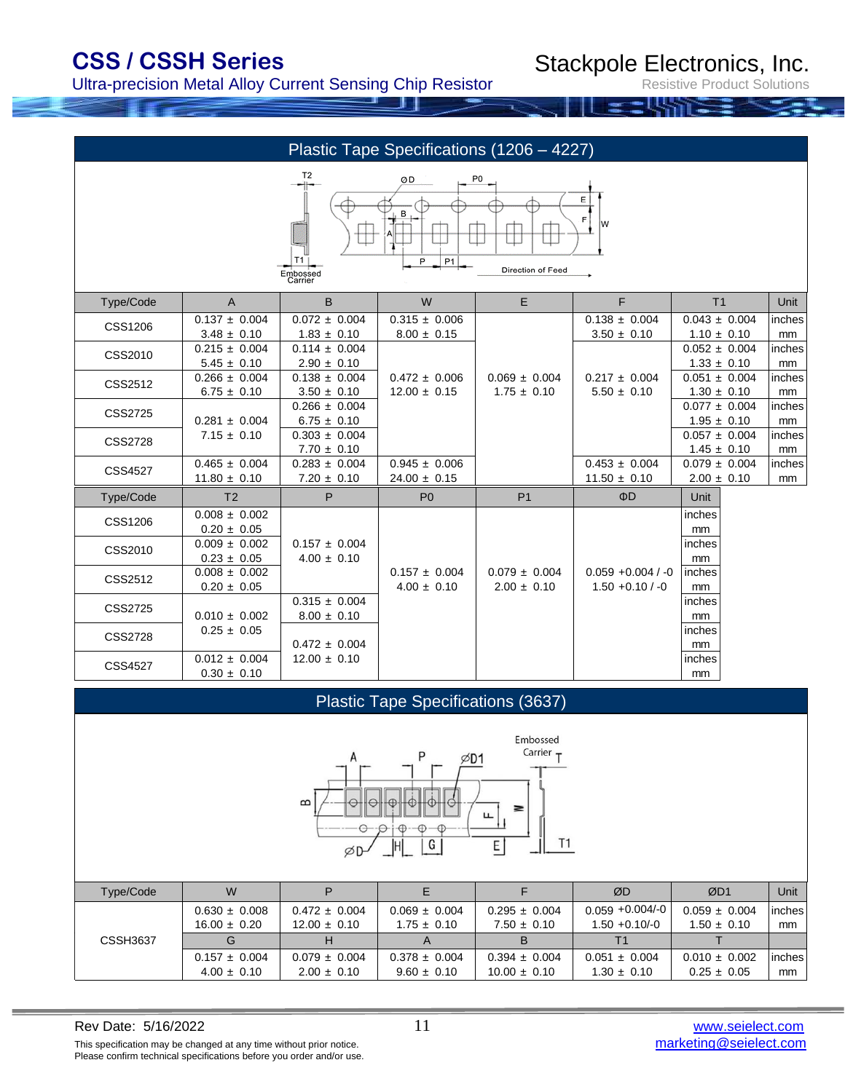Ultra-precision Metal Alloy Current Sensing Chip Resistor

Stackpole Electronics, Inc.

Resistive Product Solutions

|                                                                                                                 | Plastic Tape Specifications (1206 - 4227) |                                                 |                                               |                                      |                                               |                                      |              |  |  |  |  |
|-----------------------------------------------------------------------------------------------------------------|-------------------------------------------|-------------------------------------------------|-----------------------------------------------|--------------------------------------|-----------------------------------------------|--------------------------------------|--------------|--|--|--|--|
| T <sub>2</sub><br>P0<br>ØD<br>Ε<br>w<br>T1 I<br>P <sub>1</sub><br>P<br>Direction of Feed<br>Embossed<br>Carrier |                                           |                                                 |                                               |                                      |                                               |                                      |              |  |  |  |  |
| Type/Code                                                                                                       | $\mathsf{A}$                              | B                                               | W                                             | E                                    | F                                             | T <sub>1</sub>                       | Unit         |  |  |  |  |
| <b>CSS1206</b>                                                                                                  | $0.137 \pm 0.004$<br>$3.48 \pm 0.10$      | $\overline{0.072} \pm 0.004$<br>$1.83 \pm 0.10$ | $\overline{0.315}$ ± 0.006<br>$8.00 \pm 0.15$ |                                      | $\overline{0.138}$ ± 0.004<br>$3.50 \pm 0.10$ | $0.043 \pm 0.004$<br>$1.10 \pm 0.10$ | inches<br>mm |  |  |  |  |
| CSS2010                                                                                                         | $0.215 \pm 0.004$<br>$5.45 \pm 0.10$      | $0.114 \pm 0.004$<br>$2.90 \pm 0.10$            |                                               |                                      |                                               | $0.052 \pm 0.004$<br>$1.33 \pm 0.10$ | inches<br>mm |  |  |  |  |
| CSS2512                                                                                                         | $0.266 \pm 0.004$<br>$6.75 \pm 0.10$      | $0.138 \pm 0.004$<br>$3.50 \pm 0.10$            | $0.472 \pm 0.006$<br>$12.00 \pm 0.15$         | $0.069 \pm 0.004$<br>$1.75 \pm 0.10$ | $0.217 \pm 0.004$<br>$5.50 \pm 0.10$          | $0.051 \pm 0.004$<br>$1.30 \pm 0.10$ | inches<br>mm |  |  |  |  |
| <b>CSS2725</b>                                                                                                  | $0.281 \pm 0.004$                         | $0.266 \pm 0.004$<br>$6.75 \pm 0.10$            |                                               |                                      |                                               | $0.077 \pm 0.004$<br>$1.95 \pm 0.10$ | inches<br>mm |  |  |  |  |
| <b>CSS2728</b>                                                                                                  | $7.15 \pm 0.10$                           | $0.303 \pm 0.004$<br>$7.70 \pm 0.10$            |                                               |                                      |                                               | $0.057 \pm 0.004$<br>$1.45 \pm 0.10$ | inches<br>mm |  |  |  |  |
| <b>CSS4527</b>                                                                                                  | $0.465 \pm 0.004$<br>$11.80 \pm 0.10$     | $0.283 \pm 0.004$<br>$7.20 \pm 0.10$            | $0.945 \pm 0.006$<br>$24.00 \pm 0.15$         |                                      | $0.453 \pm 0.004$<br>$11.50 \pm 0.10$         | $0.079 \pm 0.004$<br>$2.00 \pm 0.10$ | inches<br>mm |  |  |  |  |
| Type/Code                                                                                                       | T <sub>2</sub>                            | P                                               | P <sub>0</sub>                                | P <sub>1</sub>                       | ΦD                                            | Unit                                 |              |  |  |  |  |
| <b>CSS1206</b>                                                                                                  | $0.008 \pm 0.002$<br>$0.20 \pm 0.05$      |                                                 |                                               |                                      |                                               | inches<br>mm                         |              |  |  |  |  |
| CSS2010                                                                                                         | $0.009 \pm 0.002$<br>$0.23 \pm 0.05$      | $0.157 \pm 0.004$<br>$4.00 \pm 0.10$            |                                               |                                      |                                               | inches<br>mm                         |              |  |  |  |  |
| CSS2512                                                                                                         | $0.008 \pm 0.002$<br>$0.20 \pm 0.05$      |                                                 | $0.157 \pm 0.004$<br>$4.00 \pm 0.10$          | $0.079 \pm 0.004$<br>$2.00 \pm 0.10$ | $0.059 + 0.004 / -0$<br>$1.50 + 0.10 / -0$    | inches<br>mm                         |              |  |  |  |  |
| <b>CSS2725</b>                                                                                                  | $0.010 \pm 0.002$                         | $0.315 \pm 0.004$<br>$8.00 \pm 0.10$            |                                               |                                      |                                               | inches<br>mm                         |              |  |  |  |  |
| <b>CSS2728</b>                                                                                                  | $0.25 \pm 0.05$                           | $0.472 \pm 0.004$                               |                                               |                                      |                                               | inches<br>mm                         |              |  |  |  |  |
| <b>CSS4527</b>                                                                                                  | $0.012 \pm 0.004$<br>$0.30 \pm 0.10$      | $12.00 \pm 0.10$                                |                                               |                                      |                                               | inches<br>mm                         |              |  |  |  |  |

### Plastic Tape Specifications (3637)



| Type/Code       | W                 |                   |                   |                   | ØD                 | ØD1               | Unit          |
|-----------------|-------------------|-------------------|-------------------|-------------------|--------------------|-------------------|---------------|
|                 | $0.630 \pm 0.008$ | $0.472 \pm 0.004$ | $0.069 \pm 0.004$ | $0.295 \pm 0.004$ | $0.059 + 0.004/-0$ | $0.059 \pm 0.004$ | <i>inches</i> |
|                 | $16.00 \pm 0.20$  | $12.00 \pm 0.10$  | $1.75 \pm 0.10$   | $7.50 \pm 0.10$   | $1.50 + 0.10/-0$   | $1.50 \pm 0.10$   | mm            |
| <b>CSSH3637</b> | G                 |                   |                   |                   |                    |                   |               |
|                 | $0.157 \pm 0.004$ | $0.079 \pm 0.004$ | $0.378 \pm 0.004$ | $0.394 \pm 0.004$ | $0.051 \pm 0.004$  | $0.010 \pm 0.002$ | <i>inches</i> |
|                 | $4.00 \pm 0.10$   | $2.00 \pm 0.10$   | $9.60 \pm 0.10$   | $10.00 \pm 0.10$  | $1.30 \pm 0.10$    | $0.25 \pm 0.05$   | mm            |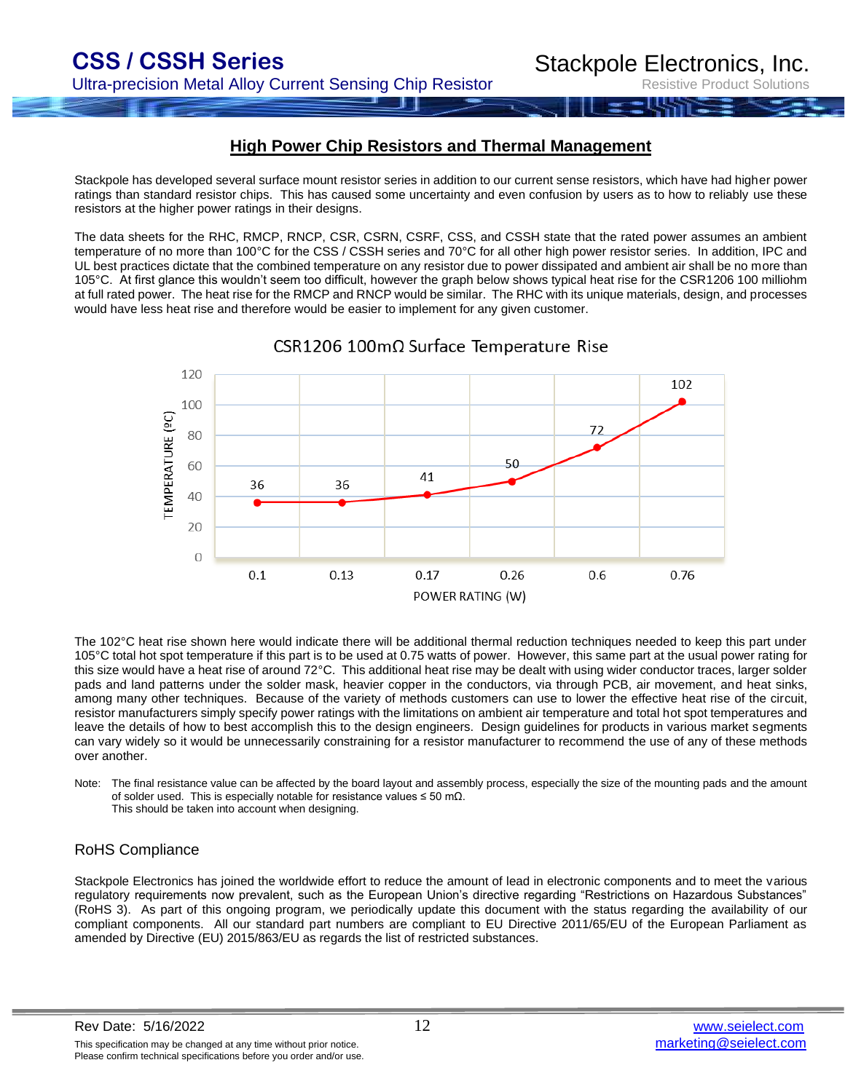Resistive Product Solutions

#### **High Power Chip Resistors and Thermal Management**

Stackpole has developed several surface mount resistor series in addition to our current sense resistors, which have had higher power ratings than standard resistor chips. This has caused some uncertainty and even confusion by users as to how to reliably use these resistors at the higher power ratings in their designs.

The data sheets for the RHC, RMCP, RNCP, CSR, CSRN, CSRF, CSS, and CSSH state that the rated power assumes an ambient temperature of no more than 100°C for the CSS / CSSH series and 70°C for all other high power resistor series. In addition, IPC and UL best practices dictate that the combined temperature on any resistor due to power dissipated and ambient air shall be no more than 105°C. At first glance this wouldn't seem too difficult, however the graph below shows typical heat rise for the CSR1206 100 milliohm at full rated power. The heat rise for the RMCP and RNCP would be similar. The RHC with its unique materials, design, and processes would have less heat rise and therefore would be easier to implement for any given customer.



CSR1206 100mΩ Surface Temperature Rise

The 102°C heat rise shown here would indicate there will be additional thermal reduction techniques needed to keep this part under 105°C total hot spot temperature if this part is to be used at 0.75 watts of power. However, this same part at the usual power rating for this size would have a heat rise of around 72°C. This additional heat rise may be dealt with using wider conductor traces, larger solder pads and land patterns under the solder mask, heavier copper in the conductors, via through PCB, air movement, and heat sinks, among many other techniques. Because of the variety of methods customers can use to lower the effective heat rise of the circuit, resistor manufacturers simply specify power ratings with the limitations on ambient air temperature and total hot spot temperatures and leave the details of how to best accomplish this to the design engineers. Design guidelines for products in various market segments can vary widely so it would be unnecessarily constraining for a resistor manufacturer to recommend the use of any of these methods over another.

Note: The final resistance value can be affected by the board layout and assembly process, especially the size of the mounting pads and the amount of solder used. This is especially notable for resistance values ≤ 50 mΩ. This should be taken into account when designing.

#### RoHS Compliance

Stackpole Electronics has joined the worldwide effort to reduce the amount of lead in electronic components and to meet the various regulatory requirements now prevalent, such as the European Union's directive regarding "Restrictions on Hazardous Substances" (RoHS 3). As part of this ongoing program, we periodically update this document with the status regarding the availability of our compliant components. All our standard part numbers are compliant to EU Directive 2011/65/EU of the European Parliament as amended by Directive (EU) 2015/863/EU as regards the list of restricted substances.